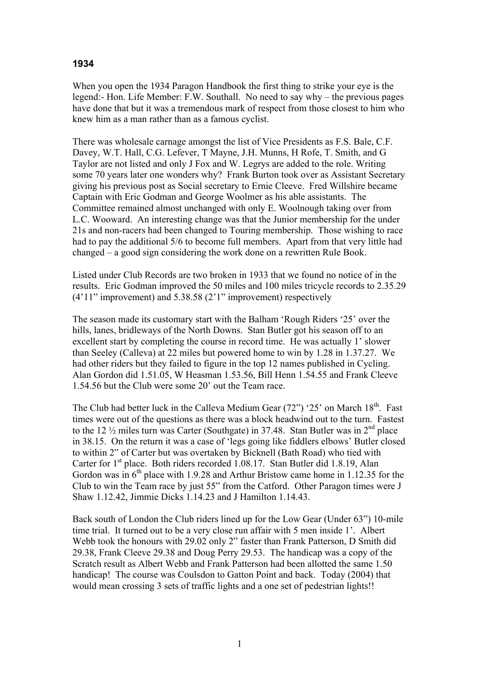## **1934**

When you open the 1934 Paragon Handbook the first thing to strike your eye is the legend:- Hon. Life Member: F.W. Southall. No need to say why – the previous pages have done that but it was a tremendous mark of respect from those closest to him who knew him as a man rather than as a famous cyclist.

There was wholesale carnage amongst the list of Vice Presidents as F.S. Bale, C.F. Davey, W.T. Hall, C.G. Lefever, T Mayne, J.H. Munns, H Rofe, T. Smith, and G Taylor are not listed and only J Fox and W. Legrys are added to the role. Writing some 70 years later one wonders why? Frank Burton took over as Assistant Secretary giving his previous post as Social secretary to Ernie Cleeve. Fred Willshire became Captain with Eric Godman and George Woolmer as his able assistants. The Committee remained almost unchanged with only E. Woolnough taking over from L.C. Wooward. An interesting change was that the Junior membership for the under 21s and non-racers had been changed to Touring membership. Those wishing to race had to pay the additional 5/6 to become full members. Apart from that very little had changed – a good sign considering the work done on a rewritten Rule Book.

Listed under Club Records are two broken in 1933 that we found no notice of in the results. Eric Godman improved the 50 miles and 100 miles tricycle records to 2.35.29 (4'11" improvement) and 5.38.58 (2'1" improvement) respectively

The season made its customary start with the Balham 'Rough Riders '25' over the hills, lanes, bridleways of the North Downs. Stan Butler got his season off to an excellent start by completing the course in record time. He was actually 1' slower than Seeley (Calleva) at 22 miles but powered home to win by 1.28 in 1.37.27. We had other riders but they failed to figure in the top 12 names published in Cycling. Alan Gordon did 1.51.05, W Heasman 1.53.56, Bill Henn 1.54.55 and Frank Cleeve 1.54.56 but the Club were some 20' out the Team race.

The Club had better luck in the Calleva Medium Gear  $(72)$  '25' on March 18<sup>th</sup>. Fast times were out of the questions as there was a block headwind out to the turn. Fastest to the 12  $\frac{1}{2}$  miles turn was Carter (Southgate) in 37.48. Stan Butler was in  $2<sup>nd</sup>$  place in 38.15. On the return it was a case of 'legs going like fiddlers elbows' Butler closed to within 2" of Carter but was overtaken by Bicknell (Bath Road) who tied with Carter for 1<sup>st</sup> place. Both riders recorded 1.08.17. Stan Butler did 1.8.19, Alan Gordon was in  $6<sup>th</sup>$  place with 1.9.28 and Arthur Bristow came home in 1.12.35 for the Club to win the Team race by just 55" from the Catford. Other Paragon times were J Shaw 1.12.42, Jimmie Dicks 1.14.23 and J Hamilton 1.14.43.

Back south of London the Club riders lined up for the Low Gear (Under 63") 10-mile time trial. It turned out to be a very close run affair with 5 men inside 1'. Albert Webb took the honours with 29.02 only 2" faster than Frank Patterson, D Smith did 29.38, Frank Cleeve 29.38 and Doug Perry 29.53. The handicap was a copy of the Scratch result as Albert Webb and Frank Patterson had been allotted the same 1.50 handicap! The course was Coulsdon to Gatton Point and back. Today (2004) that would mean crossing 3 sets of traffic lights and a one set of pedestrian lights!!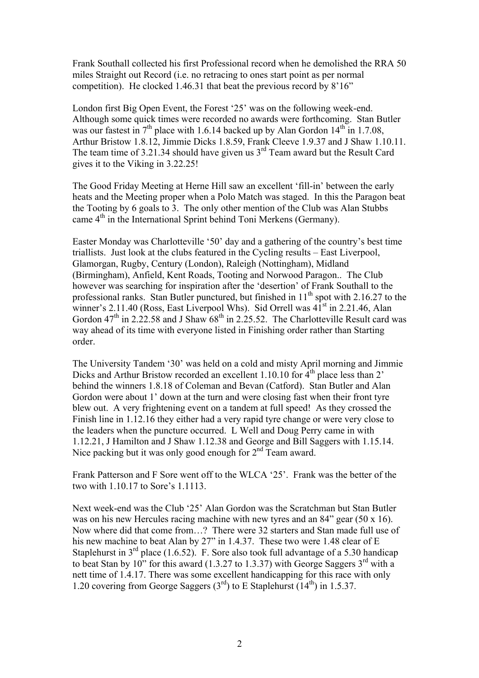Frank Southall collected his first Professional record when he demolished the RRA 50 miles Straight out Record (i.e. no retracing to ones start point as per normal competition). He clocked 1.46.31 that beat the previous record by 8'16"

London first Big Open Event, the Forest '25' was on the following week-end. Although some quick times were recorded no awards were forthcoming. Stan Butler was our fastest in  $7<sup>th</sup>$  place with 1.6.14 backed up by Alan Gordon  $14<sup>th</sup>$  in 1.7.08, Arthur Bristow 1.8.12, Jimmie Dicks 1.8.59, Frank Cleeve 1.9.37 and J Shaw 1.10.11. The team time of 3.21.34 should have given us  $3<sup>rd</sup>$  Team award but the Result Card gives it to the Viking in 3.22.25!

The Good Friday Meeting at Herne Hill saw an excellent 'fill-in' between the early heats and the Meeting proper when a Polo Match was staged. In this the Paragon beat the Tooting by 6 goals to 3. The only other mention of the Club was Alan Stubbs came 4<sup>th</sup> in the International Sprint behind Toni Merkens (Germany).

Easter Monday was Charlotteville '50' day and a gathering of the country's best time triallists. Just look at the clubs featured in the Cycling results – East Liverpool, Glamorgan, Rugby, Century (London), Raleigh (Nottingham), Midland (Birmingham), Anfield, Kent Roads, Tooting and Norwood Paragon.. The Club however was searching for inspiration after the 'desertion' of Frank Southall to the professional ranks. Stan Butler punctured, but finished in  $11<sup>th</sup>$  spot with 2.16.27 to the winner's 2.11.40 (Ross, East Liverpool Whs). Sid Orrell was 41<sup>st</sup> in 2.21.46, Alan Gordon  $47<sup>th</sup>$  in 2.22.58 and J Shaw  $68<sup>th</sup>$  in 2.25.52. The Charlotteville Result card was way ahead of its time with everyone listed in Finishing order rather than Starting order.

The University Tandem '30' was held on a cold and misty April morning and Jimmie Dicks and Arthur Bristow recorded an excellent 1.10.10 for  $\hat{4}^{th}$  place less than 2' behind the winners 1.8.18 of Coleman and Bevan (Catford). Stan Butler and Alan Gordon were about 1' down at the turn and were closing fast when their front tyre blew out. A very frightening event on a tandem at full speed! As they crossed the Finish line in 1.12.16 they either had a very rapid tyre change or were very close to the leaders when the puncture occurred. L Well and Doug Perry came in with 1.12.21, J Hamilton and J Shaw 1.12.38 and George and Bill Saggers with 1.15.14. Nice packing but it was only good enough for 2<sup>nd</sup> Team award.

Frank Patterson and F Sore went off to the WLCA '25'. Frank was the better of the two with 1.10.17 to Sore's 1.1113.

Next week-end was the Club '25' Alan Gordon was the Scratchman but Stan Butler was on his new Hercules racing machine with new tyres and an 84" gear (50 x 16). Now where did that come from…? There were 32 starters and Stan made full use of his new machine to beat Alan by 27" in 1.4.37. These two were 1.48 clear of E Staplehurst in  $3<sup>rd</sup>$  place (1.6.52). F. Sore also took full advantage of a 5.30 handicap to beat Stan by 10" for this award  $(1.3.27 \text{ to } 1.3.37)$  with George Saggers  $3^{\text{rd}}$  with a nett time of 1.4.17. There was some excellent handicapping for this race with only 1.20 covering from George Saggers  $(3<sup>rd</sup>)$  to E Staplehurst  $(14<sup>th</sup>)$  in 1.5.37.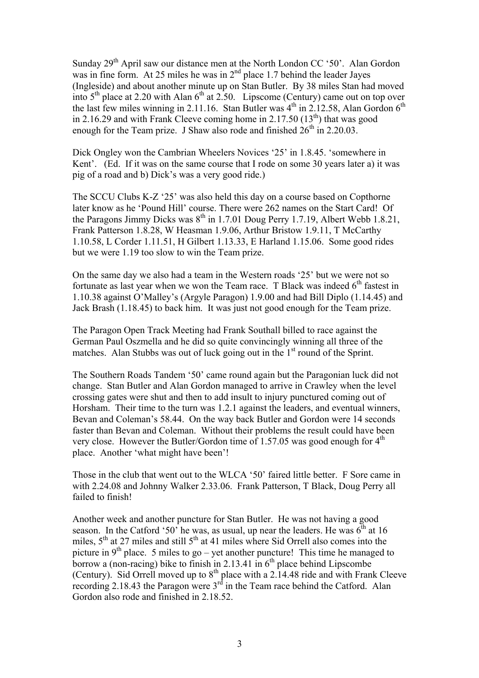Sunday 29<sup>th</sup> April saw our distance men at the North London CC '50'. Alan Gordon was in fine form. At  $25$  miles he was in  $2<sup>nd</sup>$  place 1.7 behind the leader Jayes (Ingleside) and about another minute up on Stan Butler. By 38 miles Stan had moved into  $5<sup>th</sup>$  place at 2.20 with Alan  $6<sup>th</sup>$  at 2.50. Lipscome (Century) came out on top over the last few miles winning in 2.11.16. Stan Butler was  $4<sup>th</sup>$  in 2.12.58, Alan Gordon  $6<sup>th</sup>$ in 2.16.29 and with Frank Cleeve coming home in 2.17.50  $(13<sup>th</sup>)$  that was good enough for the Team prize. J Shaw also rode and finished  $26<sup>th</sup>$  in 2.20.03.

Dick Ongley won the Cambrian Wheelers Novices '25' in 1.8.45. 'somewhere in Kent'. (Ed. If it was on the same course that I rode on some 30 years later a) it was pig of a road and b) Dick's was a very good ride.)

The SCCU Clubs K-Z '25' was also held this day on a course based on Copthorne later know as he 'Pound Hill' course. There were 262 names on the Start Card! Of the Paragons Jimmy Dicks was  $8^{th}$  in 1.7.01 Doug Perry 1.7.19, Albert Webb 1.8.21, Frank Patterson 1.8.28, W Heasman 1.9.06, Arthur Bristow 1.9.11, T McCarthy 1.10.58, L Corder 1.11.51, H Gilbert 1.13.33, E Harland 1.15.06. Some good rides but we were 1.19 too slow to win the Team prize.

On the same day we also had a team in the Western roads '25' but we were not so fortunate as last year when we won the Team race. T Black was indeed  $6<sup>th</sup>$  fastest in 1.10.38 against O'Malley's (Argyle Paragon) 1.9.00 and had Bill Diplo (1.14.45) and Jack Brash (1.18.45) to back him. It was just not good enough for the Team prize.

The Paragon Open Track Meeting had Frank Southall billed to race against the German Paul Oszmella and he did so quite convincingly winning all three of the matches. Alan Stubbs was out of luck going out in the  $1<sup>st</sup>$  round of the Sprint.

The Southern Roads Tandem '50' came round again but the Paragonian luck did not change. Stan Butler and Alan Gordon managed to arrive in Crawley when the level crossing gates were shut and then to add insult to injury punctured coming out of Horsham. Their time to the turn was 1.2.1 against the leaders, and eventual winners, Bevan and Coleman's 58.44. On the way back Butler and Gordon were 14 seconds faster than Bevan and Coleman. Without their problems the result could have been very close. However the Butler/Gordon time of  $1.57.05$  was good enough for  $4<sup>th</sup>$ place. Another 'what might have been'!

Those in the club that went out to the WLCA '50' faired little better. F Sore came in with 2.24.08 and Johnny Walker 2.33.06. Frank Patterson, T Black, Doug Perry all failed to finish!

Another week and another puncture for Stan Butler. He was not having a good season. In the Catford '50' he was, as usual, up near the leaders. He was  $6<sup>th</sup>$  at 16 miles,  $5<sup>th</sup>$  at 27 miles and still  $5<sup>th</sup>$  at 41 miles where Sid Orrell also comes into the picture in  $9<sup>th</sup>$  place. 5 miles to go – yet another puncture! This time he managed to borrow a (non-racing) bike to finish in 2.13.41 in  $6<sup>th</sup>$  place behind Lipscombe (Century). Sid Orrell moved up to  $8<sup>th</sup>$  place with a 2.14.48 ride and with Frank Cleeve recording 2.18.43 the Paragon were  $3<sup>rd</sup>$  in the Team race behind the Catford. Alan Gordon also rode and finished in 2.18.52.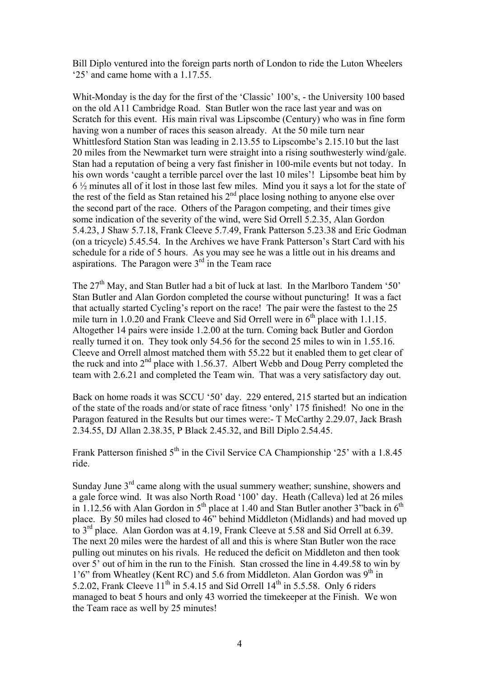Bill Diplo ventured into the foreign parts north of London to ride the Luton Wheelers '25' and came home with a 1.17.55.

Whit-Monday is the day for the first of the 'Classic' 100's, - the University 100 based on the old A11 Cambridge Road. Stan Butler won the race last year and was on Scratch for this event. His main rival was Lipscombe (Century) who was in fine form having won a number of races this season already. At the 50 mile turn near Whittlesford Station Stan was leading in 2.13.55 to Lipscombe's 2.15.10 but the last 20 miles from the Newmarket turn were straight into a rising southwesterly wind/gale. Stan had a reputation of being a very fast finisher in 100-mile events but not today. In his own words 'caught a terrible parcel over the last 10 miles'! Lipsombe beat him by 6 ½ minutes all of it lost in those last few miles. Mind you it says a lot for the state of the rest of the field as Stan retained his 2<sup>nd</sup> place losing nothing to anyone else over the second part of the race. Others of the Paragon competing, and their times give some indication of the severity of the wind, were Sid Orrell 5.2.35, Alan Gordon 5.4.23, J Shaw 5.7.18, Frank Cleeve 5.7.49, Frank Patterson 5.23.38 and Eric Godman (on a tricycle) 5.45.54. In the Archives we have Frank Patterson's Start Card with his schedule for a ride of 5 hours. As you may see he was a little out in his dreams and aspirations. The Paragon were  $3<sup>rd</sup>$  in the Team race

The 27<sup>th</sup> May, and Stan Butler had a bit of luck at last. In the Marlboro Tandem '50' Stan Butler and Alan Gordon completed the course without puncturing! It was a fact that actually started Cycling's report on the race! The pair were the fastest to the 25 mile turn in 1.0.20 and Frank Cleeve and Sid Orrell were in  $6<sup>th</sup>$  place with 1.1.15. Altogether 14 pairs were inside 1.2.00 at the turn. Coming back Butler and Gordon really turned it on. They took only 54.56 for the second 25 miles to win in 1.55.16. Cleeve and Orrell almost matched them with 55.22 but it enabled them to get clear of the ruck and into  $2<sup>nd</sup>$  place with 1.56.37. Albert Webb and Doug Perry completed the team with 2.6.21 and completed the Team win. That was a very satisfactory day out.

Back on home roads it was SCCU '50' day. 229 entered, 215 started but an indication of the state of the roads and/or state of race fitness 'only' 175 finished! No one in the Paragon featured in the Results but our times were:- T McCarthy 2.29.07, Jack Brash 2.34.55, DJ Allan 2.38.35, P Black 2.45.32, and Bill Diplo 2.54.45.

Frank Patterson finished  $5<sup>th</sup>$  in the Civil Service CA Championship '25' with a 1.8.45 ride.

Sunday June  $3<sup>rd</sup>$  came along with the usual summery weather; sunshine, showers and a gale force wind. It was also North Road '100' day. Heath (Calleva) led at 26 miles in 1.12.56 with Alan Gordon in  $5<sup>th</sup>$  place at 1.40 and Stan Butler another 3"back in  $6<sup>th</sup>$ place. By 50 miles had closed to 46" behind Middleton (Midlands) and had moved up to 3rd place. Alan Gordon was at 4.19, Frank Cleeve at 5.58 and Sid Orrell at 6.39. The next 20 miles were the hardest of all and this is where Stan Butler won the race pulling out minutes on his rivals. He reduced the deficit on Middleton and then took over 5' out of him in the run to the Finish. Stan crossed the line in 4.49.58 to win by 1'6" from Wheatley (Kent RC) and 5.6 from Middleton. Alan Gordon was  $9<sup>th</sup>$  in 5.2.02, Frank Cleeve  $11^{th}$  in 5.4.15 and Sid Orrell  $14^{th}$  in 5.5.58. Only 6 riders managed to beat 5 hours and only 43 worried the timekeeper at the Finish. We won the Team race as well by 25 minutes!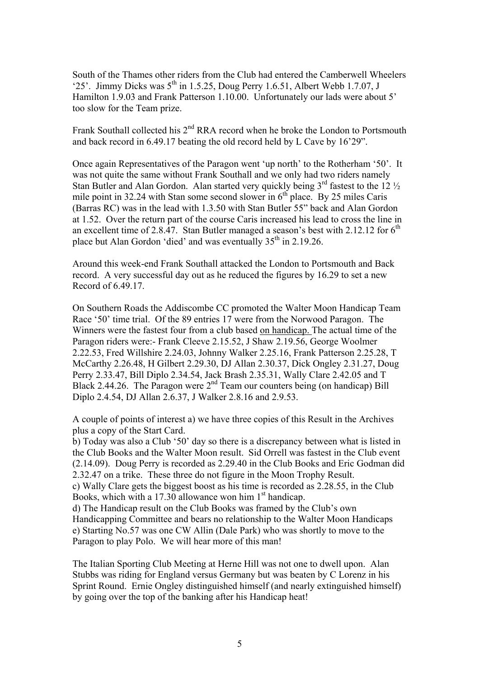South of the Thames other riders from the Club had entered the Camberwell Wheelers '25'. Jimmy Dicks was  $5<sup>th</sup>$  in 1.5.25, Doug Perry 1.6.51, Albert Webb 1.7.07, J Hamilton 1.9.03 and Frank Patterson 1.10.00. Unfortunately our lads were about 5' too slow for the Team prize.

Frank Southall collected his  $2<sup>nd</sup> RRA$  record when he broke the London to Portsmouth and back record in 6.49.17 beating the old record held by L Cave by 16'29".

Once again Representatives of the Paragon went 'up north' to the Rotherham '50'. It was not quite the same without Frank Southall and we only had two riders namely Stan Butler and Alan Gordon. Alan started very quickly being  $3<sup>rd</sup>$  fastest to the 12  $\frac{1}{2}$ mile point in 32.24 with Stan some second slower in  $6<sup>th</sup>$  place. By 25 miles Caris (Barras RC) was in the lead with 1.3.50 with Stan Butler 55" back and Alan Gordon at 1.52. Over the return part of the course Caris increased his lead to cross the line in an excellent time of 2.8.47. Stan Butler managed a season's best with 2.12.12 for  $6<sup>th</sup>$ place but Alan Gordon 'died' and was eventually  $35<sup>th</sup>$  in 2.19.26.

Around this week-end Frank Southall attacked the London to Portsmouth and Back record. A very successful day out as he reduced the figures by 16.29 to set a new Record of 6.49.17.

On Southern Roads the Addiscombe CC promoted the Walter Moon Handicap Team Race '50' time trial. Of the 89 entries 17 were from the Norwood Paragon. The Winners were the fastest four from a club based on handicap. The actual time of the Paragon riders were:- Frank Cleeve 2.15.52, J Shaw 2.19.56, George Woolmer 2.22.53, Fred Willshire 2.24.03, Johnny Walker 2.25.16, Frank Patterson 2.25.28, T McCarthy 2.26.48, H Gilbert 2.29.30, DJ Allan 2.30.37, Dick Ongley 2.31.27, Doug Perry 2.33.47, Bill Diplo 2.34.54, Jack Brash 2.35.31, Wally Clare 2.42.05 and T Black 2.44.26. The Paragon were  $2<sup>nd</sup>$  Team our counters being (on handicap) Bill Diplo 2.4.54, DJ Allan 2.6.37, J Walker 2.8.16 and 2.9.53.

A couple of points of interest a) we have three copies of this Result in the Archives plus a copy of the Start Card.

b) Today was also a Club '50' day so there is a discrepancy between what is listed in the Club Books and the Walter Moon result. Sid Orrell was fastest in the Club event (2.14.09). Doug Perry is recorded as 2.29.40 in the Club Books and Eric Godman did 2.32.47 on a trike. These three do not figure in the Moon Trophy Result. c) Wally Clare gets the biggest boost as his time is recorded as 2.28.55, in the Club Books, which with a 17.30 allowance won him  $1<sup>st</sup>$  handicap.

d) The Handicap result on the Club Books was framed by the Club's own Handicapping Committee and bears no relationship to the Walter Moon Handicaps e) Starting No.57 was one CW Allin (Dale Park) who was shortly to move to the Paragon to play Polo. We will hear more of this man!

The Italian Sporting Club Meeting at Herne Hill was not one to dwell upon. Alan Stubbs was riding for England versus Germany but was beaten by C Lorenz in his Sprint Round. Ernie Ongley distinguished himself (and nearly extinguished himself) by going over the top of the banking after his Handicap heat!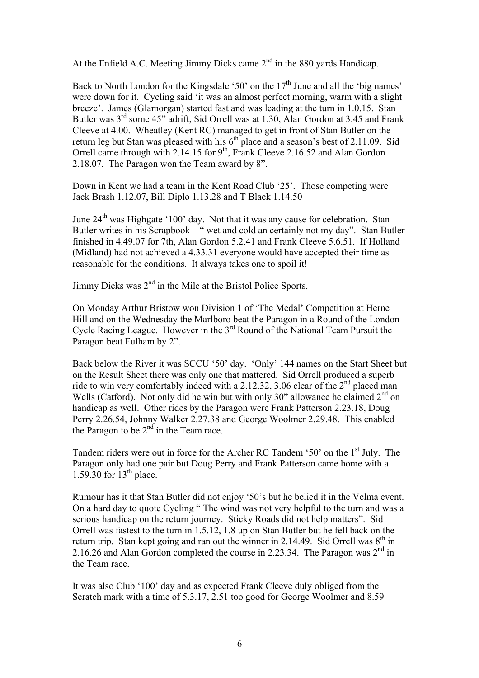At the Enfield A.C. Meeting Jimmy Dicks came 2<sup>nd</sup> in the 880 yards Handicap.

Back to North London for the Kingsdale '50' on the  $17<sup>th</sup>$  June and all the 'big names' were down for it. Cycling said 'it was an almost perfect morning, warm with a slight breeze'. James (Glamorgan) started fast and was leading at the turn in 1.0.15. Stan Butler was 3<sup>rd</sup> some 45" adrift, Sid Orrell was at 1.30, Alan Gordon at 3.45 and Frank Cleeve at 4.00. Wheatley (Kent RC) managed to get in front of Stan Butler on the return leg but Stan was pleased with his  $6<sup>th</sup>$  place and a season's best of 2.11.09. Sid Orrell came through with 2.14.15 for  $9<sup>th</sup>$ , Frank Cleeve 2.16.52 and Alan Gordon 2.18.07. The Paragon won the Team award by 8".

Down in Kent we had a team in the Kent Road Club '25'. Those competing were Jack Brash 1.12.07, Bill Diplo 1.13.28 and T Black 1.14.50

June  $24<sup>th</sup>$  was Highgate '100' day. Not that it was any cause for celebration. Stan Butler writes in his Scrapbook – " wet and cold an certainly not my day". Stan Butler finished in 4.49.07 for 7th, Alan Gordon 5.2.41 and Frank Cleeve 5.6.51. If Holland (Midland) had not achieved a 4.33.31 everyone would have accepted their time as reasonable for the conditions. It always takes one to spoil it!

Jimmy Dicks was  $2<sup>nd</sup>$  in the Mile at the Bristol Police Sports.

On Monday Arthur Bristow won Division 1 of 'The Medal' Competition at Herne Hill and on the Wednesday the Marlboro beat the Paragon in a Round of the London Cycle Racing League. However in the 3rd Round of the National Team Pursuit the Paragon beat Fulham by 2".

Back below the River it was SCCU '50' day. 'Only' 144 names on the Start Sheet but on the Result Sheet there was only one that mattered. Sid Orrell produced a superb ride to win very comfortably indeed with a 2.12.32, 3.06 clear of the  $2<sup>nd</sup>$  placed man Wells (Catford). Not only did he win but with only 30" allowance he claimed  $2<sup>nd</sup>$  on handicap as well. Other rides by the Paragon were Frank Patterson 2.23.18, Doug Perry 2.26.54, Johnny Walker 2.27.38 and George Woolmer 2.29.48. This enabled the Paragon to be  $2<sup>nd</sup>$  in the Team race.

Tandem riders were out in force for the Archer RC Tandem '50' on the 1<sup>st</sup> July. The Paragon only had one pair but Doug Perry and Frank Patterson came home with a  $1.59.30$  for  $13<sup>th</sup>$  place.

Rumour has it that Stan Butler did not enjoy '50's but he belied it in the Velma event. On a hard day to quote Cycling " The wind was not very helpful to the turn and was a serious handicap on the return journey. Sticky Roads did not help matters". Sid Orrell was fastest to the turn in 1.5.12, 1.8 up on Stan Butler but he fell back on the return trip. Stan kept going and ran out the winner in 2.14.49. Sid Orrell was  $8<sup>th</sup>$  in 2.16.26 and Alan Gordon completed the course in 2.23.34. The Paragon was  $2<sup>nd</sup>$  in the Team race.

It was also Club '100' day and as expected Frank Cleeve duly obliged from the Scratch mark with a time of 5.3.17, 2.51 too good for George Woolmer and 8.59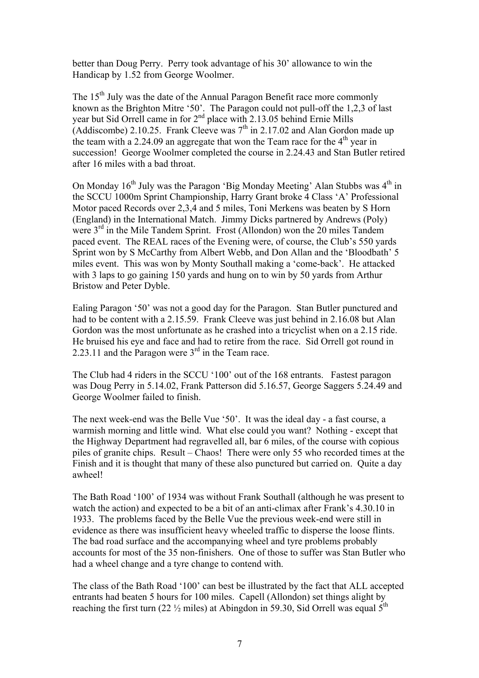better than Doug Perry. Perry took advantage of his 30' allowance to win the Handicap by 1.52 from George Woolmer.

The  $15<sup>th</sup>$  July was the date of the Annual Paragon Benefit race more commonly known as the Brighton Mitre '50'. The Paragon could not pull-off the 1,2,3 of last year but Sid Orrell came in for 2<sup>nd</sup> place with 2.13.05 behind Ernie Mills (Addiscombe) 2.10.25. Frank Cleeve was  $7<sup>th</sup>$  in 2.17.02 and Alan Gordon made up the team with a 2.24.09 an aggregate that won the Team race for the  $4<sup>th</sup>$  year in succession! George Woolmer completed the course in 2.24.43 and Stan Butler retired after 16 miles with a bad throat.

On Monday  $16<sup>th</sup>$  July was the Paragon 'Big Monday Meeting' Alan Stubbs was  $4<sup>th</sup>$  in the SCCU 1000m Sprint Championship, Harry Grant broke 4 Class 'A' Professional Motor paced Records over 2,3,4 and 5 miles, Toni Merkens was beaten by S Horn (England) in the International Match. Jimmy Dicks partnered by Andrews (Poly) were 3<sup>rd</sup> in the Mile Tandem Sprint. Frost (Allondon) won the 20 miles Tandem paced event. The REAL races of the Evening were, of course, the Club's 550 yards Sprint won by S McCarthy from Albert Webb, and Don Allan and the 'Bloodbath' 5 miles event. This was won by Monty Southall making a 'come-back'. He attacked with 3 laps to go gaining 150 yards and hung on to win by 50 yards from Arthur Bristow and Peter Dyble.

Ealing Paragon '50' was not a good day for the Paragon. Stan Butler punctured and had to be content with a 2.15.59. Frank Cleeve was just behind in 2.16.08 but Alan Gordon was the most unfortunate as he crashed into a tricyclist when on a 2.15 ride. He bruised his eye and face and had to retire from the race. Sid Orrell got round in 2.23.11 and the Paragon were  $3<sup>rd</sup>$  in the Team race.

The Club had 4 riders in the SCCU '100' out of the 168 entrants. Fastest paragon was Doug Perry in 5.14.02, Frank Patterson did 5.16.57, George Saggers 5.24.49 and George Woolmer failed to finish.

The next week-end was the Belle Vue '50'. It was the ideal day - a fast course, a warmish morning and little wind. What else could you want? Nothing - except that the Highway Department had regravelled all, bar 6 miles, of the course with copious piles of granite chips. Result – Chaos! There were only 55 who recorded times at the Finish and it is thought that many of these also punctured but carried on. Quite a day awheel!

The Bath Road '100' of 1934 was without Frank Southall (although he was present to watch the action) and expected to be a bit of an anti-climax after Frank's 4.30.10 in 1933. The problems faced by the Belle Vue the previous week-end were still in evidence as there was insufficient heavy wheeled traffic to disperse the loose flints. The bad road surface and the accompanying wheel and tyre problems probably accounts for most of the 35 non-finishers. One of those to suffer was Stan Butler who had a wheel change and a tyre change to contend with.

The class of the Bath Road '100' can best be illustrated by the fact that ALL accepted entrants had beaten 5 hours for 100 miles. Capell (Allondon) set things alight by reaching the first turn (22  $\frac{1}{2}$  miles) at Abingdon in 59.30, Sid Orrell was equal  $5^{\text{th}}$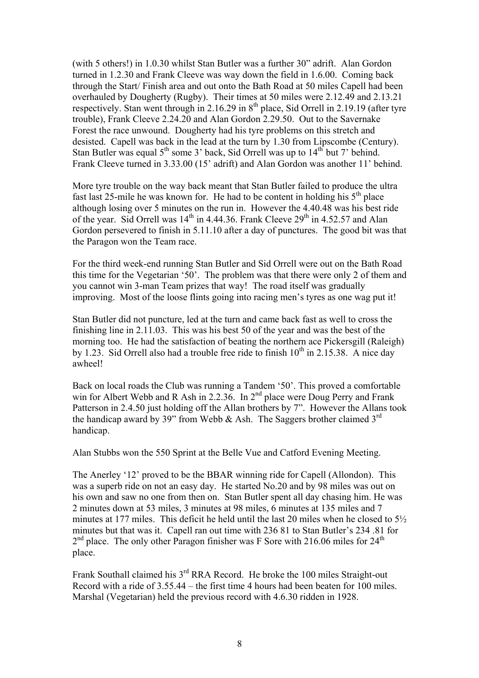(with 5 others!) in 1.0.30 whilst Stan Butler was a further 30" adrift. Alan Gordon turned in 1.2.30 and Frank Cleeve was way down the field in 1.6.00. Coming back through the Start/ Finish area and out onto the Bath Road at 50 miles Capell had been overhauled by Dougherty (Rugby). Their times at 50 miles were 2.12.49 and 2.13.21 respectively. Stan went through in 2.16.29 in  $8<sup>th</sup>$  place, Sid Orrell in 2.19.19 (after tyre trouble), Frank Cleeve 2.24.20 and Alan Gordon 2.29.50. Out to the Savernake Forest the race unwound. Dougherty had his tyre problems on this stretch and desisted. Capell was back in the lead at the turn by 1.30 from Lipscombe (Century). Stan Butler was equal  $5<sup>th</sup>$  some 3' back, Sid Orrell was up to  $14<sup>th</sup>$  but 7' behind. Frank Cleeve turned in 3.33.00 (15' adrift) and Alan Gordon was another 11' behind.

More tyre trouble on the way back meant that Stan Butler failed to produce the ultra fast last 25-mile he was known for. He had to be content in holding his  $5<sup>th</sup>$  place although losing over 5 minutes on the run in. However the 4.40.48 was his best ride of the year. Sid Orrell was  $14<sup>th</sup>$  in 4.44.36. Frank Cleeve  $29<sup>th</sup>$  in 4.52.57 and Alan Gordon persevered to finish in 5.11.10 after a day of punctures. The good bit was that the Paragon won the Team race.

For the third week-end running Stan Butler and Sid Orrell were out on the Bath Road this time for the Vegetarian '50'. The problem was that there were only 2 of them and you cannot win 3-man Team prizes that way! The road itself was gradually improving. Most of the loose flints going into racing men's tyres as one wag put it!

Stan Butler did not puncture, led at the turn and came back fast as well to cross the finishing line in 2.11.03. This was his best 50 of the year and was the best of the morning too. He had the satisfaction of beating the northern ace Pickersgill (Raleigh) by 1.23. Sid Orrell also had a trouble free ride to finish  $10<sup>th</sup>$  in 2.15.38. A nice day awheel!

Back on local roads the Club was running a Tandem '50'. This proved a comfortable win for Albert Webb and R Ash in 2.2.36. In 2<sup>nd</sup> place were Doug Perry and Frank Patterson in 2.4.50 just holding off the Allan brothers by 7". However the Allans took the handicap award by 39" from Webb & Ash. The Saggers brother claimed  $3<sup>rd</sup>$ handicap.

Alan Stubbs won the 550 Sprint at the Belle Vue and Catford Evening Meeting.

The Anerley '12' proved to be the BBAR winning ride for Capell (Allondon). This was a superb ride on not an easy day. He started No.20 and by 98 miles was out on his own and saw no one from then on. Stan Butler spent all day chasing him. He was 2 minutes down at 53 miles, 3 minutes at 98 miles, 6 minutes at 135 miles and 7 minutes at 177 miles. This deficit he held until the last 20 miles when he closed to 5½ minutes but that was it. Capell ran out time with 236 81 to Stan Butler's 234 .81 for  $2<sup>nd</sup>$  place. The only other Paragon finisher was F Sore with 216.06 miles for  $24<sup>th</sup>$ place.

Frank Southall claimed his  $3<sup>rd</sup> RRA$  Record. He broke the 100 miles Straight-out Record with a ride of 3.55.44 – the first time 4 hours had been beaten for 100 miles. Marshal (Vegetarian) held the previous record with 4.6.30 ridden in 1928.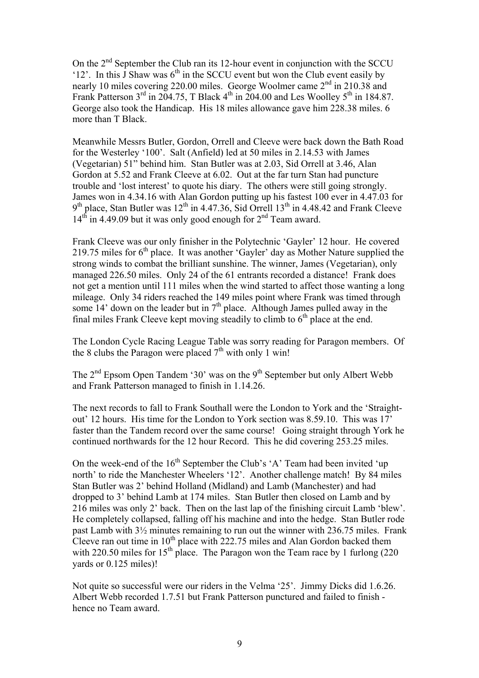On the  $2<sup>nd</sup>$  September the Club ran its 12-hour event in conjunction with the SCCU '12'. In this  $\overline{J}$  Shaw was  $6<sup>th</sup>$  in the SCCU event but won the Club event easily by nearly 10 miles covering 220.00 miles. George Woolmer came 2<sup>nd</sup> in 210.38 and Frank Patterson  $3^{rd}$  in 204.75, T Black  $4^{th}$  in 204.00 and Les Woolley  $5^{th}$  in 184.87. George also took the Handicap. His 18 miles allowance gave him 228.38 miles. 6 more than T Black.

Meanwhile Messrs Butler, Gordon, Orrell and Cleeve were back down the Bath Road for the Westerley '100'. Salt (Anfield) led at 50 miles in 2.14.53 with James (Vegetarian) 51" behind him. Stan Butler was at 2.03, Sid Orrell at 3.46, Alan Gordon at 5.52 and Frank Cleeve at 6.02. Out at the far turn Stan had puncture trouble and 'lost interest' to quote his diary. The others were still going strongly. James won in 4.34.16 with Alan Gordon putting up his fastest 100 ever in 4.47.03 for  $9<sup>th</sup>$  place, Stan Butler was  $12<sup>th</sup>$  in 4.47.36, Sid Orrell  $13<sup>th</sup>$  in 4.48.42 and Frank Cleeve  $14<sup>th</sup>$  in 4.49.09 but it was only good enough for  $2<sup>nd</sup>$  Team award.

Frank Cleeve was our only finisher in the Polytechnic 'Gayler' 12 hour. He covered 219.75 miles for  $6<sup>th</sup>$  place. It was another 'Gayler' day as Mother Nature supplied the strong winds to combat the brilliant sunshine. The winner, James (Vegetarian), only managed 226.50 miles. Only 24 of the 61 entrants recorded a distance! Frank does not get a mention until 111 miles when the wind started to affect those wanting a long mileage. Only 34 riders reached the 149 miles point where Frank was timed through some 14' down on the leader but in  $7<sup>th</sup>$  place. Although James pulled away in the final miles Frank Cleeve kept moving steadily to climb to  $6<sup>th</sup>$  place at the end.

The London Cycle Racing League Table was sorry reading for Paragon members. Of the 8 clubs the Paragon were placed  $7<sup>th</sup>$  with only 1 win!

The  $2<sup>nd</sup>$  Epsom Open Tandem '30' was on the 9<sup>th</sup> September but only Albert Webb and Frank Patterson managed to finish in 1.14.26.

The next records to fall to Frank Southall were the London to York and the 'Straightout' 12 hours. His time for the London to York section was 8.59.10. This was 17' faster than the Tandem record over the same course! Going straight through York he continued northwards for the 12 hour Record. This he did covering 253.25 miles.

On the week-end of the  $16<sup>th</sup>$  September the Club's 'A' Team had been invited 'up north' to ride the Manchester Wheelers '12'. Another challenge match! By 84 miles Stan Butler was 2' behind Holland (Midland) and Lamb (Manchester) and had dropped to 3' behind Lamb at 174 miles. Stan Butler then closed on Lamb and by 216 miles was only 2' back. Then on the last lap of the finishing circuit Lamb 'blew'. He completely collapsed, falling off his machine and into the hedge. Stan Butler rode past Lamb with 3½ minutes remaining to run out the winner with 236.75 miles. Frank Cleeve ran out time in  $10^{th}$  place with 222.75 miles and Alan Gordon backed them with 220.50 miles for  $15<sup>th</sup>$  place. The Paragon won the Team race by 1 furlong (220) yards or 0.125 miles)!

Not quite so successful were our riders in the Velma '25'. Jimmy Dicks did 1.6.26. Albert Webb recorded 1.7.51 but Frank Patterson punctured and failed to finish hence no Team award.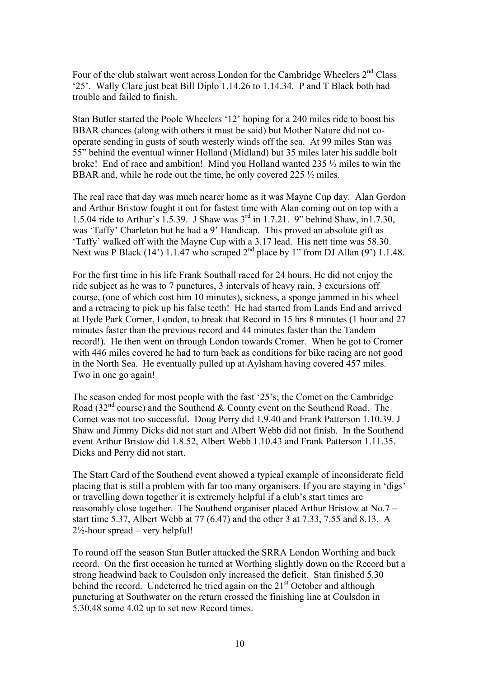Four of the club stalwart went across London for the Cambridge Wheelers 2<sup>nd</sup> Class '25'. Wally Clare just beat Bill Diplo 1.14.26 to 1.14.34. P and T Black both had trouble and failed to finish.

Stan Butler started the Poole Wheelers '12' hoping for a 240 miles ride to boost his BBAR chances (along with others it must be said) but Mother Nature did not cooperate sending in gusts of south westerly winds off the sea. At 99 miles Stan was 55" behind the eventual winner Holland (Midland) but 35 miles later his saddle bolt broke! End of race and ambition! Mind you Holland wanted 235 ½ miles to win the BBAR and, while he rode out the time, he only covered 225  $\frac{1}{2}$  miles.

The real race that day was much nearer home as it was Mayne Cup day. Alan Gordon and Arthur Bristow fought it out for fastest time with Alan coming out on top with a 1.5.04 ride to Arthur's 1.5.39. J Shaw was 3rd in 1.7.21. 9" behind Shaw, in1.7.30, was 'Taffy' Charleton but he had a 9' Handicap. This proved an absolute gift as 'Taffy' walked off with the Mayne Cup with a 3.17 lead. His nett time was 58.30. Next was P Black (14') 1.1.47 who scraped  $2<sup>nd</sup>$  place by 1" from DJ Allan (9') 1.1.48.

For the first time in his life Frank Southall raced for 24 hours. He did not enjoy the ride subject as he was to 7 punctures, 3 intervals of heavy rain, 3 excursions off course, (one of which cost him 10 minutes), sickness, a sponge jammed in his wheel and a retracing to pick up his false teeth! He had started from Lands End and arrived at Hyde Park Corner, London, to break that Record in 15 hrs 8 minutes (1 hour and 27 minutes faster than the previous record and 44 minutes faster than the Tandem record!). He then went on through London towards Cromer. When he got to Cromer with 446 miles covered he had to turn back as conditions for bike racing are not good in the North Sea. He eventually pulled up at Aylsham having covered 457 miles. Two in one go again!

The season ended for most people with the fast '25's; the Comet on the Cambridge Road ( $32<sup>nd</sup>$  course) and the Southend & County event on the Southend Road. The Comet was not too successful. Doug Perry did 1.9.40 and Frank Patterson 1.10.39. J Shaw and Jimmy Dicks did not start and Albert Webb did not finish. In the Southend event Arthur Bristow did 1.8.52, Albert Webb 1.10.43 and Frank Patterson 1.11.35. Dicks and Perry did not start.

The Start Card of the Southend event showed a typical example of inconsiderate field placing that is still a problem with far too many organisers. If you are staying in 'digs' or travelling down together it is extremely helpful if a club's start times are reasonably close together. The Southend organiser placed Arthur Bristow at No.7 – start time 5.37, Albert Webb at 77 (6.47) and the other 3 at 7.33, 7.55 and 8.13. A  $2\frac{1}{2}$ -hour spread – very helpful!

To round off the season Stan Butler attacked the SRRA London Worthing and back record. On the first occasion he turned at Worthing slightly down on the Record but a strong headwind back to Coulsdon only increased the deficit. Stan finished 5.30 behind the record. Undeterred he tried again on the 21<sup>st</sup> October and although puncturing at Southwater on the return crossed the finishing line at Coulsdon in 5.30.48 some 4.02 up to set new Record times.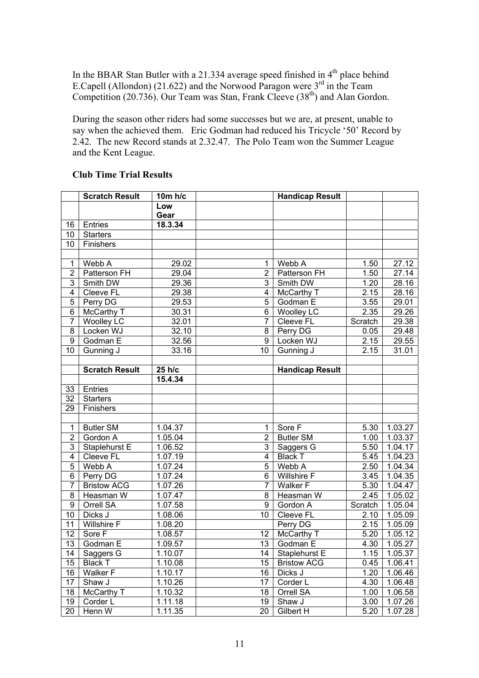In the BBAR Stan Butler with a 21.334 average speed finished in  $4<sup>th</sup>$  place behind E.Capell (Allondon) (21.622) and the Norwood Paragon were  $3<sup>rd</sup>$  in the Team Competition (20.736). Our Team was Stan, Frank Cleeve (38<sup>th</sup>) and Alan Gordon.

During the season other riders had some successes but we are, at present, unable to say when the achieved them. Eric Godman had reduced his Tricycle '50' Record by 2.42. The new Record stands at 2.32.47. The Polo Team won the Summer League and the Kent League.

|                  | <b>Scratch Result</b> | 10m h/c            |                 | <b>Handicap Result</b> |         |                      |
|------------------|-----------------------|--------------------|-----------------|------------------------|---------|----------------------|
|                  |                       | Low                |                 |                        |         |                      |
|                  |                       | Gear               |                 |                        |         |                      |
| 16               | Entries               | 18.3.34            |                 |                        |         |                      |
| 10               | <b>Starters</b>       |                    |                 |                        |         |                      |
| 10               | Finishers             |                    |                 |                        |         |                      |
|                  |                       |                    |                 |                        |         |                      |
| $\mathbf{1}$     | Webb A                | 29.02              | 1               | Webb A                 | 1.50    | 27.12                |
| $\overline{2}$   | Patterson FH          | $\overline{29.04}$ | $\overline{2}$  | Patterson FH           | 1.50    | 27.14                |
| 3                | Smith DW              | 29.36              | 3               | Smith DW               | 1.20    | 28.16                |
| $\overline{4}$   | Cleeve FL             | 29.38              | 4               | McCarthy T             | 2.15    | 28.16                |
| $\overline{5}$   | Perry DG              | 29.53              | 5               | Godman E               | 3.55    | 29.01                |
| $\overline{6}$   | <b>McCarthy T</b>     | 30.31              | $\overline{6}$  | <b>Woolley LC</b>      | 2.35    | 29.26                |
| $\overline{7}$   | <b>Woolley LC</b>     | 32.01              | $\overline{7}$  | <b>Cleeve FL</b>       | Scratch | 29.38                |
| $\overline{8}$   | Locken WJ             | 32.10              | 8               | Perry DG               | 0.05    | 29.48                |
| $\overline{9}$   | Godman E              | 32.56              | $\overline{9}$  | Locken WJ              | 2.15    | 29.55                |
| 10               | Gunning J             | 33.16              | $\overline{10}$ | Gunning J              | 2.15    | 31.01                |
|                  |                       |                    |                 |                        |         |                      |
|                  | <b>Scratch Result</b> | 25 h/c             |                 | <b>Handicap Result</b> |         |                      |
|                  |                       | 15.4.34            |                 |                        |         |                      |
| 33               | Entries               |                    |                 |                        |         |                      |
| $\overline{32}$  | <b>Starters</b>       |                    |                 |                        |         |                      |
| 29               | Finishers             |                    |                 |                        |         |                      |
|                  |                       |                    |                 |                        |         |                      |
| $\mathbf{1}$     | <b>Butler SM</b>      | 1.04.37            | $\mathbf{1}$    | Sore F                 | 5.30    | 1.03.27              |
| $\overline{2}$   | Gordon A              | 1.05.04            | $\overline{2}$  | <b>Butler SM</b>       | 1.00    | 1.03.37              |
| 3                | Staplehurst E         | 1.06.52            | 3               | Saggers G              | 5.50    | 1.04.17              |
| 4                | Cleeve FL             | 1.07.19            | 4               | <b>Black T</b>         | 5.45    | 1.04.23              |
| 5                | Webb A                | 1.07.24            | 5               | Webb A                 | 2.50    | 1.04.34              |
| 6                | Perry DG              | 1.07.24            | 6               | Willshire F            | 3.45    | $1.\overline{04.35}$ |
| $\overline{7}$   | <b>Bristow ACG</b>    | 1.07.26            | $\overline{7}$  | Walker F               | 5.30    | 1.04.47              |
| 8                | Heasman W             | 1.07.47            | 8               | Heasman W              | 2.45    | 1.05.02              |
| $\boldsymbol{9}$ | Orrell SA             | 1.07.58            | 9               | Gordon A               | Scratch | 1.05.04              |
| 10               | Dicks J               | 1.08.06            | 10              | Cleeve FL              | 2.10    | 1.05.09              |
| 11               | Willshire F           | 1.08.20            |                 | Perry DG               | 2.15    | 1.05.09              |
| 12               | Sore <sub>F</sub>     | 1.08.57            | 12              | McCarthy T             | 5.20    | 1.05.12              |
| 13               | Godman E              | 1.09.57            | 13              | Godman E               | 4.30    | 1.05.27              |
| 14               | Saggers G             | 1.10.07            | 14              | Staplehurst E          | 1.15    | 1.05.37              |
| 15               | <b>Black T</b>        | 1.10.08            | 15              | <b>Bristow ACG</b>     | 0.45    | 1.06.41              |
| 16               | Walker F              | 1.10.17            | 16              | Dicks J                | 1.20    | 1.06.46              |
| 17               | Shaw J                | 1.10.26            | 17              | Corder L               | 4.30    | 1.06.48              |
| 18               | McCarthy T            | 1.10.32            | 18              | Orrell SA              | 1.00    | 1.06.58              |
| 19               | Corder L              | 1.11.18            | 19              | Shaw J                 | 3.00    | 1.07.26              |
| 20               | Henn W                | 1.11.35            | 20              | Gilbert H              | 5.20    | 1.07.28              |

## **Club Time Trial Results**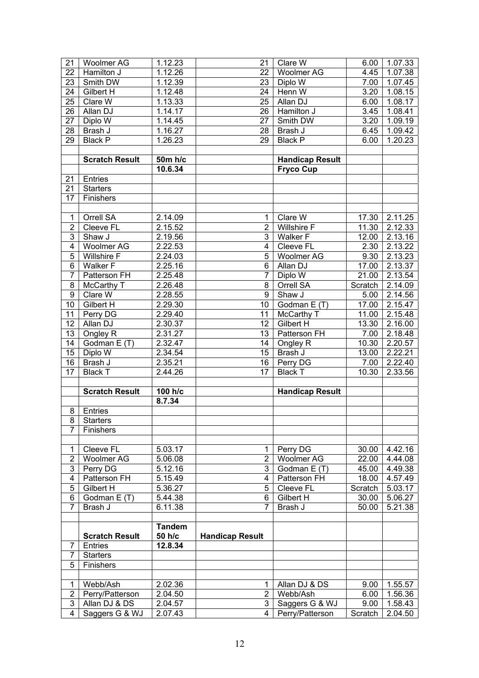| 21               | Woolmer AG            | 1.12.23       | 21                     | Clare W                | 6.00    | 1.07.33              |
|------------------|-----------------------|---------------|------------------------|------------------------|---------|----------------------|
| 22               | Hamilton J            | 1.12.26       | 22                     | Woolmer AG             | 4.45    | 1.07.38              |
| 23               | Smith DW              | 1.12.39       | 23                     | Diplo W                | 7.00    | 1.07.45              |
| 24               | Gilbert H             | 1.12.48       | 24                     | Henn W                 | 3.20    | 1.08.15              |
| 25               | Clare $\overline{W}$  | 1.13.33       | 25                     | Allan DJ               | 6.00    | 1.08.17              |
| 26               | Allan DJ              | 1.14.17       | 26                     | Hamilton J             | 3.45    | 1.08.41              |
| 27               | Diplo W               | 1.14.45       | 27                     | Smith DW               | 3.20    | 1.09.19              |
| 28               | Brash J               | 1.16.27       | 28                     | Brash J                | 6.45    | 1.09.42              |
| 29               | <b>Black P</b>        | 1.26.23       | 29                     | <b>Black P</b>         | 6.00    | 1.20.23              |
|                  |                       |               |                        |                        |         |                      |
|                  | <b>Scratch Result</b> | 50m h/c       |                        | <b>Handicap Result</b> |         |                      |
|                  |                       | 10.6.34       |                        | <b>Fryco Cup</b>       |         |                      |
| 21               | Entries               |               |                        |                        |         |                      |
| 21               | <b>Starters</b>       |               |                        |                        |         |                      |
| 17               | Finishers             |               |                        |                        |         |                      |
|                  |                       |               |                        |                        |         |                      |
| $\mathbf{1}$     | Orrell SA             | 2.14.09       | $\mathbf{1}$           | Clare W                | 17.30   | 2.11.25              |
| $\overline{2}$   | Cleeve FL             | 2.15.52       | $\overline{2}$         | <b>Willshire F</b>     | 11.30   | 2.12.33              |
| 3                | Shaw J                | 2.19.56       | 3                      | Walker <sub>F</sub>    | 12.00   | 2.13.16              |
| $\overline{4}$   | Woolmer AG            | 2.22.53       | 4                      | Cleeve FL              | 2.30    | 2.13.22              |
| $\overline{5}$   | Willshire F           | 2.24.03       | $\overline{5}$         | Woolmer AG             | 9.30    | 2.13.23              |
| 6                | <b>Walker F</b>       | 2.25.16       | 6                      | Allan DJ               | 17.00   | 2.13.37              |
| $\overline{7}$   | Patterson FH          | 2.25.48       | $\overline{7}$         | Diplo W                | 21.00   | $2.\overline{13.54}$ |
| 8                | McCarthy T            | 2.26.48       | 8                      | Orrell SA              | Scratch | 2.14.09              |
| $\boldsymbol{9}$ | Clare W               |               | 9                      | Shaw J                 |         |                      |
|                  |                       | 2.28.55       |                        |                        | 5.00    | 2.14.56              |
| 10               | Gilbert H             | 2.29.30       | 10                     | Godman E (T)           | 17.00   | 2.15.47              |
| 11               | Perry DG              | 2.29.40       | 11                     | McCarthy T             | 11.00   | 2.15.48              |
| 12               | Allan DJ              | 2.30.37       | 12                     | Gilbert H              | 13.30   | 2.16.00              |
| 13               | Ongley R              | 2.31.27       | 13                     | Patterson FH           | 7.00    | 2.18.48              |
| 14               | Godman E (T)          | 2.32.47       | 14                     | Ongley R               | 10.30   | 2.20.57              |
| 15               | Diplo W               | 2.34.54       | 15                     | Brash J                | 13.00   | 2.22.21              |
| 16               | Brash J               | 2.35.21       | 16                     | Perry DG               | 7.00    | 2.22.40              |
| 17               | <b>Black T</b>        | 2.44.26       | 17                     | <b>Black T</b>         | 10.30   | 2.33.56              |
|                  |                       |               |                        |                        |         |                      |
|                  | <b>Scratch Result</b> | 100 h/c       |                        | <b>Handicap Result</b> |         |                      |
|                  |                       | 8.7.34        |                        |                        |         |                      |
| 8                | Entries               |               |                        |                        |         |                      |
|                  | 8 Starters            |               |                        |                        |         |                      |
| $\overline{7}$   | Finishers             |               |                        |                        |         |                      |
|                  |                       |               |                        |                        |         |                      |
| $\mathbf 1$      | Cleeve FL             | 5.03.17       | 1                      | Perry DG               | 30.00   | 4.42.16              |
| $\overline{2}$   | <b>Woolmer AG</b>     | 5.06.08       | $\overline{2}$         | Woolmer AG             | 22.00   | 4.44.08              |
| 3                | Perry DG              | 5.12.16       | 3                      | Godman E (T)           | 45.00   | 4.49.38              |
| 4                | <b>Patterson FH</b>   | 5.15.49       | 4                      | Patterson FH           | 18.00   | 4.57.49              |
| 5                | Gilbert H             | 5.36.27       | 5                      | Cleeve FL              | Scratch | 5.03.17              |
| 6                | Godman E (T)          | 5.44.38       | 6                      | Gilbert H              | 30.00   | 5.06.27              |
| $\overline{7}$   | Brash J               | 6.11.38       | 7                      | Brash J                | 50.00   | 5.21.38              |
|                  |                       |               |                        |                        |         |                      |
|                  |                       | <b>Tandem</b> |                        |                        |         |                      |
|                  | <b>Scratch Result</b> | 50 h/c        | <b>Handicap Result</b> |                        |         |                      |
| 7                | Entries               | 12.8.34       |                        |                        |         |                      |
| $\overline{7}$   | <b>Starters</b>       |               |                        |                        |         |                      |
| 5                | Finishers             |               |                        |                        |         |                      |
|                  |                       |               |                        |                        |         |                      |
| $\mathbf{1}$     | Webb/Ash              | 2.02.36       | 1                      | Allan DJ & DS          | 9.00    | 1.55.57              |
| $\overline{2}$   | Perry/Patterson       | 2.04.50       | $\overline{2}$         | Webb/Ash               | 6.00    | 1.56.36              |
| 3                | Allan DJ & DS         | 2.04.57       | 3                      | Saggers G & WJ         | 9.00    | 1.58.43              |
| 4                | Saggers G & WJ        | 2.07.43       | 4                      | Perry/Patterson        | Scratch | 2.04.50              |